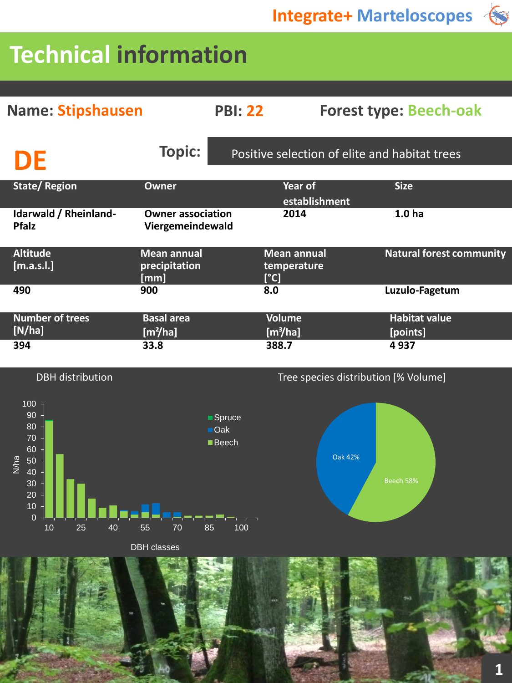ES

Oak 42%

# **Technical information**

| <b>Name: Stipshausen</b>              |                                              | <b>PBI: 22</b>                                | <b>Forest type: Beech-oak</b>         |                                  |  |  |
|---------------------------------------|----------------------------------------------|-----------------------------------------------|---------------------------------------|----------------------------------|--|--|
| DE                                    | <b>Topic:</b>                                | Positive selection of elite and habitat trees |                                       |                                  |  |  |
| <b>State/Region</b>                   | Owner                                        |                                               | Year of<br>establishment              | <b>Size</b>                      |  |  |
| Idarwald / Rheinland-<br><b>Pfalz</b> | <b>Owner association</b><br>Viergemeindewald |                                               | 2014                                  | 1.0 <sub>ha</sub>                |  |  |
| <b>Altitude</b><br>[m.a.s.l.]         | <b>Mean annual</b><br>precipitation<br>[mm]  | [°C]                                          | <b>Mean annual</b><br>temperature     | <b>Natural forest community</b>  |  |  |
| 490                                   | 900                                          | 8.0                                           |                                       | Luzulo-Fagetum                   |  |  |
| <b>Number of trees</b><br>[N/ha]      | <b>Basal area</b><br>[m <sup>2</sup> /ha]    |                                               | <b>Volume</b><br>[m <sup>3</sup> /ha] | <b>Habitat value</b><br>[points] |  |  |
| 394                                   | 33.8                                         | 388.7                                         |                                       | 4937                             |  |  |



DBH classes

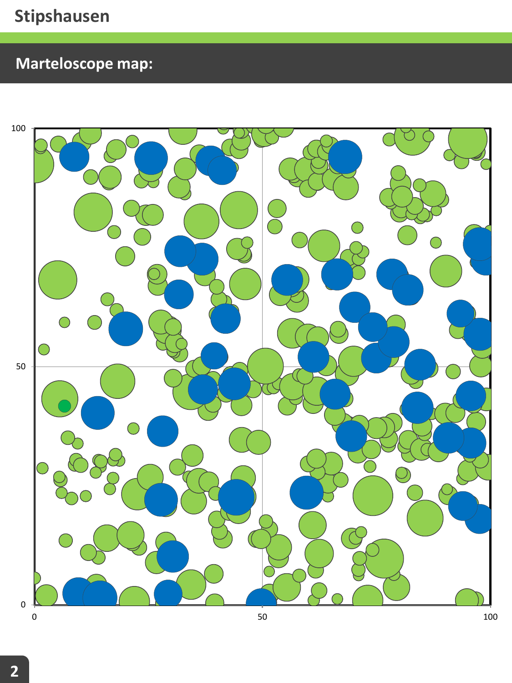# **Marteloscope map:**

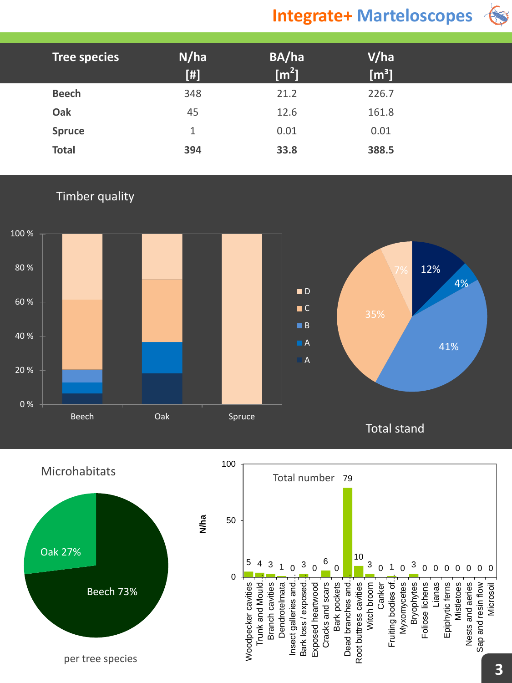## **Integrate+ Marteloscopes**



| Tree species  | N/ha<br>$[!]% \centering \subfloat[\centering]{{\includegraphics[width=0.22\textwidth]{figs-p_1000N100.pdf} }}% \qquad \subfloat[\centering]{{\includegraphics[width=0.22\textwidth]{figs-p_200N1000.pdf} }}% \qquad \subfloat[\centering]{{\includegraphics[width=0.22\textwidth]{figs-p_1000N1000.pdf} }}% \qquad \subfloat[\centering]{{\includegraphics[width=0.22\textwidth]{figs-p_200N1000.pdf} }}% \qquad \subfloat[\centering]{{\includegraphics[width=0.22\textwidth]{figs-p_200N1000.pdf} }}% \qquad \subfloat[\centering]{{$ | BA/ha<br>$\mathsf{[m^2]}$ | V/ha<br>$\text{[m}^3\text{]}$ |  |
|---------------|------------------------------------------------------------------------------------------------------------------------------------------------------------------------------------------------------------------------------------------------------------------------------------------------------------------------------------------------------------------------------------------------------------------------------------------------------------------------------------------------------------------------------------------|---------------------------|-------------------------------|--|
| <b>Beech</b>  | 348                                                                                                                                                                                                                                                                                                                                                                                                                                                                                                                                      | 21.2                      | 226.7                         |  |
| Oak           | 45                                                                                                                                                                                                                                                                                                                                                                                                                                                                                                                                       | 12.6                      | 161.8                         |  |
| <b>Spruce</b> | 1                                                                                                                                                                                                                                                                                                                                                                                                                                                                                                                                        | 0.01                      | 0.01                          |  |
| <b>Total</b>  | 394                                                                                                                                                                                                                                                                                                                                                                                                                                                                                                                                      | 33.8                      | 388.5                         |  |

#### Timber quality



100

**N/ha**

Microhabitats